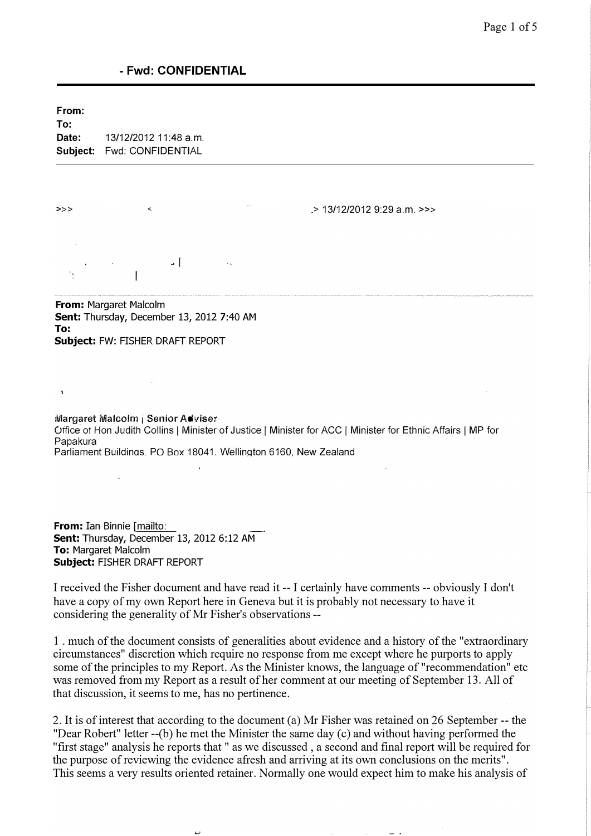From:

 $\overline{a}$ 

To: Date: 13/12/2012 11:48 a.m. Subject: Fwd: CONFIDENTIAL

» > " .> 13/12/2012 9:29 a.m. »>

 $\mathsf{L} \left( \mathbb{R}^n \right)$  $\overline{\phantom{a}}$ 

From: Margaret Malcolm Sent: Thursday, December 13, 2012 7:40 AM To: Subject: FW: FISHER DRAFT REPORT

iVlargaret Malcolm i Senior Adviser Office ot Hon Judith Collins I Minister of Justice I Minister for ACC I Minister for Ethnic Affairs I MP for Papakura Parliament Buildings, PO Box 18041. Wellington 6160, New Zealand

From: Ian Binnie [mailto: Sent: Thursday, December 13, 2012 6:12 AM To: Margaret Malcolm Subject: FISHER DRAFT REPORT

I received the Fisher document and have read it -- I certainly have comments -- obviously I don't have a copy of my own Report here in Geneva but it is probably not necessary to have it considering the generality of Mr Fisher's observations --

1 . much of the document consists of generalities about evidence and a history of the "extraordinary circumstances" discretion which require no response from me except where he purports to apply some of the principles to my Report. As the Minister knows, the language of "recommendation" etc was removed from my Report as a result of her comment at our meeting of September 13. All of that discussion, it seems to me, has no pertinence.

2. It is of interest that according to the document (a) Mr Fisher was retained on 26 September -- the "Dear Robert" letter --(b) he met the Minister the same day (c) and without having performed the "first stage" analysis he reports that " as we discussed , a second and final report will be required for the purpose of reviewing the evidence afresh and arriving at its own conclusions on the merits". This seems a very results oriented retainer. Normally one would expect him to make his analysis of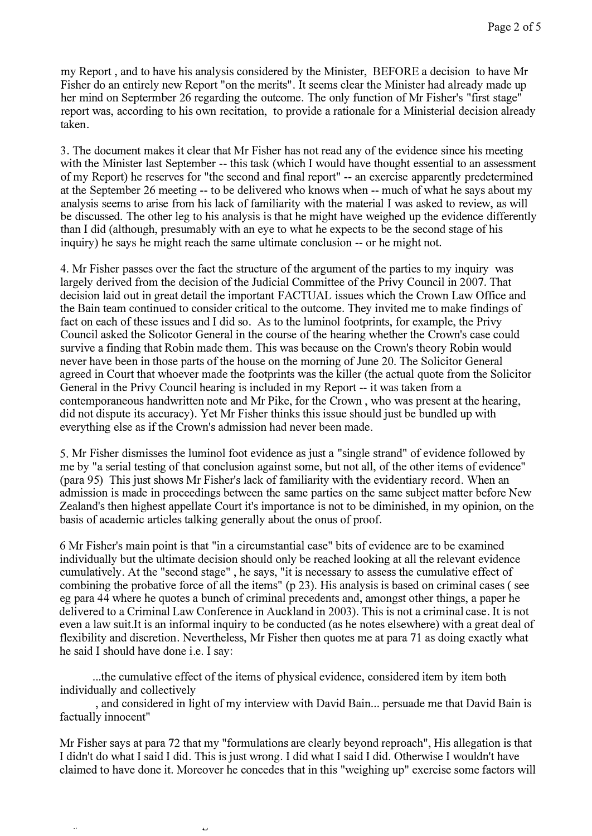my Report , and to have his analysis considered by the Minister, BEFORE a decision to have Mr Fisher do an entirely new Report "on the merits". It seems clear the Minister had already made up her mind on Septermber 26 regarding the outcome. The only function of Mr Fisher's "first stage" report was, according to his own recitation, to provide a rationale for a Ministerial decision already taken.

3. The document makes it clear that Mr Fisher has not read any of the evidence since his meeting with the Minister last September -- this task (which I would have thought essential to an assessment of my Report) he reserves for "the second and final report" -- an exercise apparently predetermined at the September 26 meeting -- to be delivered who knows when -- much of what he says about my analysis seems to arise from his lack of familiarity with the material I was asked to review, as will be discussed. The other leg to his analysis is that he might have weighed up the evidence differently than I did (although, presumably with an eye to what he expects to be the second stage of his inquiry) he says he might reach the same ultimate conclusion -- or he might not.

4. Mr Fisher passes over the fact the structure of the argument of the parties to my inquiry was largely derived from the decision of the Judicial Committee of the Privy Council in 2007. That decision laid out in great detail the important FACTUAL issues which the Crown Law Office and the Bain team continued to consider critical to the outcome. They invited me to make findings of fact on each of these issues and I did so. As to the luminol footprints, for example, the Privy Council asked the Solicotor General in the course of the hearing whether the Crown's case could survive a finding that Robin made them. This was because on the Crown's theory Robin would never have been in those parts of the house on the morning of June 20. The Solicitor General agreed in Court that whoever made the footprints was the killer (the actual quote from the Solicitor General in the Privy Council hearing is included in my Report -- it was taken from a contemporaneous handwritten note and Mr Pike, for the Crown , who was present at the hearing, did not dispute its accuracy). Yet Mr Fisher thinks this issue should just be bundled up with everything else as if the Crown's admission had never been made.

5. Mr Fisher dismisses the luminol foot evidence as just a "single strand" of evidence followed by me by "a serial testing of that conclusion against some, but not all, of the other items of evidence" (para 95) This just shows Mr Fisher's lack of familiarity with the evidentiary record. When an admission is made in proceedings between the same parties on the same subject matter before New Zealand's then highest appellate Court it's importance is not to be diminished, in my opinion, on the basis of academic articles talking generally about the onus of proof.

6 Mr Fisher's main point is that "in a circumstantial case" bits of evidence are to be examined individually but the ultimate decision should only be reached looking at all the relevant evidence cumulatively. At the "second stage" , he says, "it is necessary to assess the cumulative effect of combining the probative force of all the items" (p 23). His analysis is based on criminal cases ( see eg para 44 where he quotes a bunch of criminal precedents and, amongst other things, a paper he delivered to a Criminal Law Conference in Auckland in 2003). This is not a criminal case. It is not even a law suit.It is an informal inquiry to be conducted (as he notes elsewhere) with a great deal of flexibility and discretion. Nevertheless, Mr Fisher then quotes me at para 71 as doing exactly what he said I should have done i.e. I say:

... the cumulative effect of the items of physical evidence, considered item by item both individually and collectively

, and considered in light of my interview with David Bain ... persuade me that David Bain is factually innocent"

Mr Fisher says at para 72 that my "formulations are clearly beyond reproach", His allegation is that I didn't do what I said I did. This is just wrong. I did what I said I did. Otherwise I wouldn't have claimed to have done it. Moreover he concedes that in this "weighing up" exercise some factors will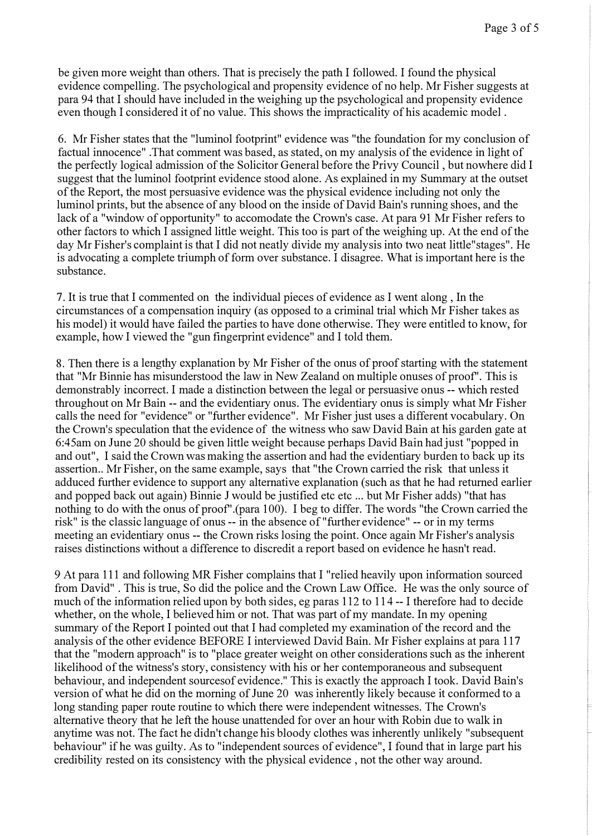be given more weight than others. That is precisely the path I followed. I found the physical evidence compelling. The psychological and propensity evidence of no help. Mr Fisher suggests at para 94 that I should have included in the weighing up the psychological and propensity evidence even though I considered it of no value. This shows the impracticality of his academic model .

6. Mr Fisher states that the "luminol footprint" evidence was "the foundation for my conclusion of factual innocence" .That comment was based, as stated, on my analysis of the evidence in light of the perfectly logical admission of the Solicitor General before the Privy Council , but nowhere did I suggest that the luminol footprint evidence stood alone. As explained in my Summary at the outset of the Report, the most persuasive evidence was the physical evidence including not only the luminol prints, but the absence of any blood on the inside of David Bain's running shoes, and the lack of a "window of opportunity" to accomodate the Crown's case. At para 91 Mr Fisher refers to other factors to which I assigned little weight. This too is part of the weighing up. At the end of the day Mr Fisher's complaint is that I did not neatly divide my analysis into two neat little"stages". He is advocating a complete triumph of form over substance. I disagree. What is important here is the substance.

7. It is true that I commented on the individual pieces of evidence as I went along , In the circumstances of a compensation inquiry (as opposed to a criminal trial which Mr Fisher takes as his model) it would have failed the parties to have done otherwise. They were entitled to know, for example, how I viewed the "gun fingerprint evidence" and I told them.

8. Then there is a lengthy explanation by Mr Fisher of the onus of proof starting with the statement that "Mr Binnie has misunderstood the law in New Zealand on multiple onuses of proof'. This is demonstrably incorrect. I made a distinction between the legal or persuasive onus -- which rested throughout on Mr Bain -- and the evidentiary onus. The evidentiary onus is simply what Mr Fisher calls the need for "evidence" or "further evidence". Mr Fisher just uses a different vocabulary. On the Crown's speculation that the evidence of the witness who saw David Bain at his garden gate at 6:45am on June 20 should be given little weight because perhaps David Bain had just "popped in and out", I said the Crown was making the assertion and had the evidentiary burden to back up its assertion.. Mr Fisher, on the same example, says that "the Crown carried the risk that unless it adduced further evidence to support any alternative explanation (such as that he had returned earlier and popped back out again) Binnie J would be justified etc etc ... but Mr Fisher adds) "that has nothing to do with the onus of proof" (para 100). I beg to differ. The words "the Crown carried the risk" is the classic language of onus -- in the absence of "further evidence" -- or in my terms meeting an evidentiary onus -- the Crown risks losing the point. Once again Mr Fisher's analysis raises distinctions without a difference to discredit a report based on evidence he hasn't read.

9 At para 111 and following MR Fisher complains that I "relied heavily upon information sourced from David" . This is true, So did the police and the Crown Law Office. He was the only source of much of the information relied upon by both sides, eg paras 112 to 114 -- I therefore had to decide whether, on the whole, I believed him or not. That was part of my mandate. In my opening summary of the Report I pointed out that I had completed my examination of the record and the analysis of the other evidence BEFORE I interviewed David Bain. Mr Fisher explains at para 117 that the "modern approach" is to "place greater weight on other considerations such as the inherent likelihood of the witness's story, consistency with his or her contemporaneous and subsequent behaviour, and independent sourcesof evidence." This is exactly the approach I took. David Bain's version of what he did on the morning of June 20 was inherently likely because it conformed to a long standing paper route routine to which there were independent witnesses. The Crown's alternative theory that he left the house unattended for over an hour with Robin due to walk in anytime was not. The fact he didn't change his bloody clothes was inherently unlikely "subsequent behaviour" if he was guilty. As to "independent sources of evidence", I found that in large part his credibility rested on its consistency with the physical evidence , not the other way around.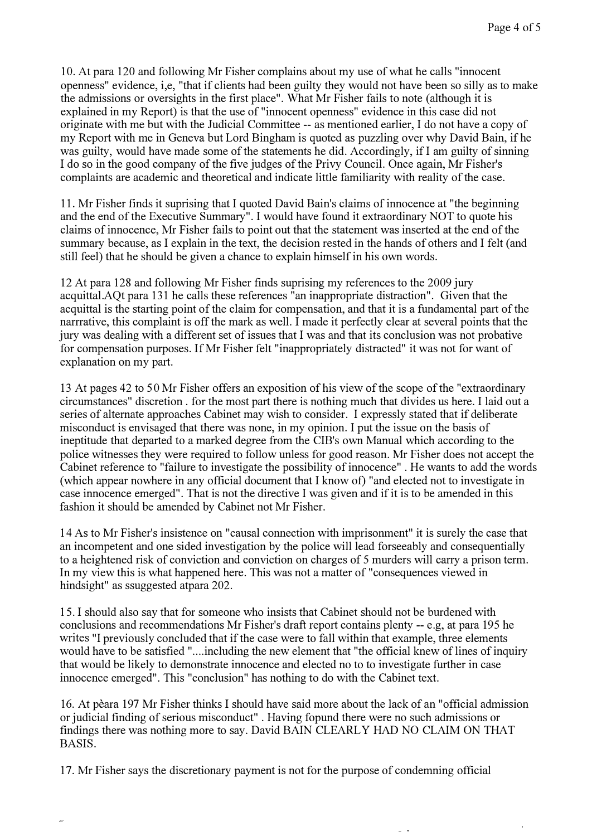10 . At para 120 and following Mr Fisher complains about my use of what he calls "innocent openness" evidence, i,e, "that if clients had been guilty they would not have been so silly as to make the admissions or oversights in the first place". What Mr Fisher fails to note (although it is explained in my Report) is that the use of "innocent openness" evidence in this case did not originate with me but with the Judicial Committee -- as mentioned earlier, I do not have a copy of my Report with me in Geneva but Lord Bingham is quoted as puzzling over why David Bain, if he was guilty, would have made some of the statements he did. Accordingly, if I am guilty of sinning I do so in the good company of the five judges of the Privy Council. Once again, Mr Fisher's complaints are academic and theoretical and indicate little familiarity with reality of the case.

11 . Mr Fisher finds it suprising that I quoted David Bain's claims of innocence at "the beginning and the end of the Executive Summary". I would have found it extraordinary NOT to quote his claims of innocence, Mr Fisher fails to point out that the statement was inserted at the end of the summary because, as I explain in the text, the decision rested in the hands of others and I felt (and still feel) that he should be given a chance to explain himself in his own words.

12 At para 12 8 and following Mr Fisher finds suprising my references to the 2009 jury acquittal.AQt para 131 he calls these references "an inappropriate distraction". Given that the acquittal is the starting point of the claim for compensation, and that it is a fundamental part of the narrrative, this complaint is off the mark as well. I made it perfectly clear at several points that the jury was dealing with a different set of issues that I was and that its conclusion was not probative for compensation purposes. If Mr Fisher felt "inappropriately distracted" it was not for want of explanation on my part.

13 At pages 42 to 50 Mr Fisher offers an exposition of his view of the scope of the "extraordinary circumstances" discretion . for the most part there is nothing much that divides us here. I laid out a series of alternate approaches Cabinet may wish to consider. I expressly stated that if deliberate misconduct is envisaged that there was none, in my opinion. I put the issue on the basis of ineptitude that departed to a marked degree from the CIB's own Manual which according to the police witnesses they were required to follow unless for good reason. Mr Fisher does not accept the Cabinet reference to "failure to investigate the possibility of innocence" . He wants to add the words (which appear nowhere in any official document that I know of) "and elected not to investigate in case innocence emerged". That is not the directive I was given and if it is to be amended in this fashion it should be amended by Cabinet not Mr Fisher.

14 As to Mr Fisher's insistence on "causal connection with imprisonment" it is surely the case that an incompetent and one sided investigation by the police will lead forseeably and consequentially to a heightened risk of conviction and conviction on charges of 5 murders will carry a prison term. In my view this is what happened here. This was not a matter of "consequences viewed in hindsight" as ssuggested atpara 202.

15. I should also say that for someone who insists that Cabinet should not be burdened with conclusions and recommendations Mr Fisher's draft report contains plenty -- e.g, at para 195 he writes "I previously concluded that if the case were to fall within that example, three elements would have to be satisfied "....including the new element that "the official knew of lines of inquiry that would be likely to demonstrate innocence and elected no to to investigate further in case innocence emerged". This "conclusion" has nothing to do with the Cabinet text.

16. At peara 197 Mr Fisher thinks I should have said more about the lack of an "official admission or judicial finding of serious misconduct" . Having fopund there were no such admissions or findings there was nothing more to say. David BAIN CLEARLY HAD NO CLAIM ON THAT BASIS.

17. Mr Fisher says the discretionary payment is not for the purpose of condemning official

з.